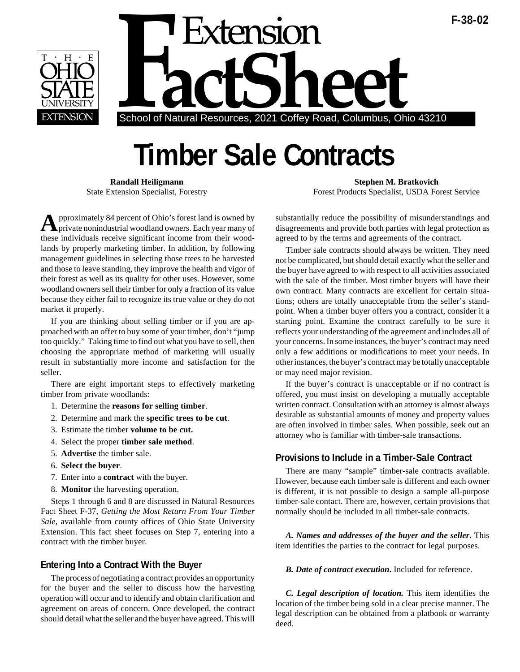



## **Timber Sale Contracts**

**A**pproximately 84 percent of Ohio's forest land is owned by private nonindustrial woodland owners. Each year many of these individuals receive significant income from their woodlands by properly marketing timber. In addition, by following management guidelines in selecting those trees to be harvested and those to leave standing, they improve the health and vigor of their forest as well as its quality for other uses. However, some woodland owners sell their timber for only a fraction of its value because they either fail to recognize its true value or they do not market it properly.

If you are thinking about selling timber or if you are approached with an offer to buy some of your timber, don't "jump too quickly." Taking time to find out what you have to sell, then choosing the appropriate method of marketing will usually result in substantially more income and satisfaction for the seller.

There are eight important steps to effectively marketing timber from private woodlands:

- 1. Determine the **reasons for selling timber**.
- 2. Determine and mark the **specific trees to be cut**.
- 3. Estimate the timber **volume to be cut.**
- 4. Select the proper **timber sale method**.
- 5. **Advertise** the timber sale.
- 6. **Select the buyer**.
- 7. Enter into a **contract** with the buyer.
- 8. **Monitor** the harvesting operation.

Steps 1 through 6 and 8 are discussed in Natural Resources Fact Sheet F-37, *Getting the Most Return From Your Timber Sale*, available from county offices of Ohio State University Extension. This fact sheet focuses on Step 7, entering into a contract with the timber buyer.

## **Entering Into a Contract With the Buyer**

The process of negotiating a contract provides an opportunity for the buyer and the seller to discuss how the harvesting operation will occur and to identify and obtain clarification and agreement on areas of concern. Once developed, the contract should detail what the seller and the buyer have agreed. This will

**Randall Heiligmann** Stephen M. Bratkovich State Extension Specialist, Forestry Forest Products Specialist, USDA Forest Service

> substantially reduce the possibility of misunderstandings and disagreements and provide both parties with legal protection as agreed to by the terms and agreements of the contract.

> Timber sale contracts should always be written. They need not be complicated, but should detail exactly what the seller and the buyer have agreed to with respect to all activities associated with the sale of the timber. Most timber buyers will have their own contract. Many contracts are excellent for certain situations; others are totally unacceptable from the seller's standpoint. When a timber buyer offers you a contract, consider it a starting point. Examine the contract carefully to be sure it reflects your understanding of the agreement and includes all of your concerns. In some instances, the buyer's contract may need only a few additions or modifications to meet your needs. In other instances, the buyer's contract may be totally unacceptable or may need major revision.

> If the buyer's contract is unacceptable or if no contract is offered, you must insist on developing a mutually acceptable written contract. Consultation with an attorney is almost always desirable as substantial amounts of money and property values are often involved in timber sales. When possible, seek out an attorney who is familiar with timber-sale transactions.

## **Provisions to Include in a Timber-Sale Contract**

There are many "sample" timber-sale contracts available. However, because each timber sale is different and each owner is different, it is not possible to design a sample all-purpose timber-sale contact. There are, however, certain provisions that normally should be included in all timber-sale contracts.

*A. Names and addresses of the buyer and the seller***.** This item identifies the parties to the contract for legal purposes.

*B. Date of contract execution***.** Included for reference.

*C. Legal description of location.* This item identifies the location of the timber being sold in a clear precise manner. The legal description can be obtained from a platbook or warranty deed.

**F-38-02**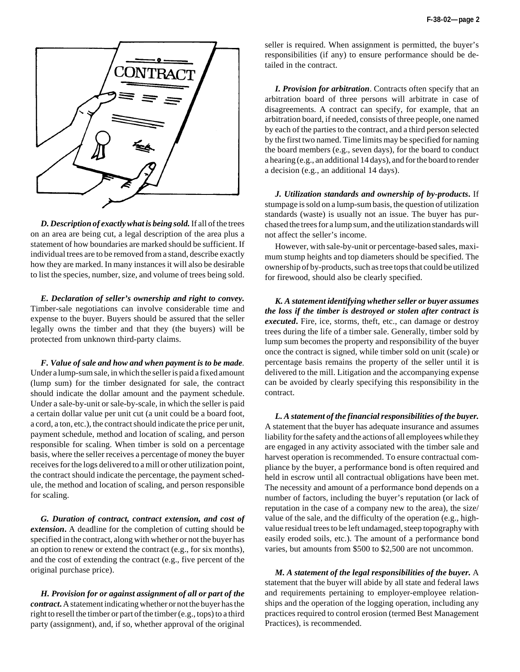

*D. Description of exactly what is being sold.*If all of the trees on an area are being cut, a legal description of the area plus a statement of how boundaries are marked should be sufficient. If individual trees are to be removed from a stand, describe exactly how they are marked. In many instances it will also be desirable to list the species, number, size, and volume of trees being sold.

*E. Declaration of seller's ownership and right to convey.* Timber-sale negotiations can involve considerable time and expense to the buyer. Buyers should be assured that the seller legally owns the timber and that they (the buyers) will be protected from unknown third-party claims.

*F. Value of sale and how and when payment is to be made.* Under a lump-sum sale, in which the seller is paid a fixed amount (lump sum) for the timber designated for sale, the contract should indicate the dollar amount and the payment schedule. Under a sale-by-unit or sale-by-scale, in which the seller is paid a certain dollar value per unit cut (a unit could be a board foot, a cord, a ton, etc.), the contract should indicate the price per unit, payment schedule, method and location of scaling, and person responsible for scaling. When timber is sold on a percentage basis, where the seller receives a percentage of money the buyer receives for the logs delivered to a mill or other utilization point, the contract should indicate the percentage, the payment schedule, the method and location of scaling, and person responsible for scaling.

*G. Duration of contract, contract extension, and cost of extension***.** A deadline for the completion of cutting should be specified in the contract, along with whether or not the buyer has an option to renew or extend the contract (e.g., for six months), and the cost of extending the contract (e.g., five percent of the original purchase price).

*H. Provision for or against assignment of all or part of the contract***.**A statement indicating whether or not the buyer has the right to resell the timber or part of the timber (e.g., tops) to a third party (assignment), and, if so, whether approval of the original

seller is required. When assignment is permitted, the buyer's responsibilities (if any) to ensure performance should be detailed in the contract.

*I. Provision for arbitration*. Contracts often specify that an arbitration board of three persons will arbitrate in case of disagreements. A contract can specify, for example, that an arbitration board, if needed, consists of three people, one named by each of the parties to the contract, and a third person selected by the first two named. Time limits may be specified for naming the board members (e.g., seven days), for the board to conduct a hearing (e.g., an additional 14 days), and for the board to render a decision (e.g., an additional 14 days).

*J. Utilization standards and ownership of by-products***.** If stumpage is sold on a lump-sum basis, the question of utilization standards (waste) is usually not an issue. The buyer has purchased the trees for a lump sum, and the utilization standards will not affect the seller's income.

However, with sale-by-unit or percentage-based sales, maximum stump heights and top diameters should be specified. The ownership of by-products, such as tree tops that could be utilized for firewood, should also be clearly specified.

*K. A statement identifying whether seller or buyer assumes the loss if the timber is destroyed or stolen after contract is executed***.** Fire, ice, storms, theft, etc., can damage or destroy trees during the life of a timber sale. Generally, timber sold by lump sum becomes the property and responsibility of the buyer once the contract is signed, while timber sold on unit (scale) or percentage basis remains the property of the seller until it is delivered to the mill. Litigation and the accompanying expense can be avoided by clearly specifying this responsibility in the contract.

*L. A statement of the financial responsibilities of the buyer.* A statement that the buyer has adequate insurance and assumes liability for the safety and the actions of all employees while they are engaged in any activity associated with the timber sale and harvest operation is recommended. To ensure contractual compliance by the buyer, a performance bond is often required and held in escrow until all contractual obligations have been met. The necessity and amount of a performance bond depends on a number of factors, including the buyer's reputation (or lack of reputation in the case of a company new to the area), the size/ value of the sale, and the difficulty of the operation (e.g., highvalue residual trees to be left undamaged, steep topography with easily eroded soils, etc.). The amount of a performance bond varies, but amounts from \$500 to \$2,500 are not uncommon.

*M. A statement of the legal responsibilities of the buyer.* A statement that the buyer will abide by all state and federal laws and requirements pertaining to employer-employee relationships and the operation of the logging operation, including any practices required to control erosion (termed Best Management Practices), is recommended.